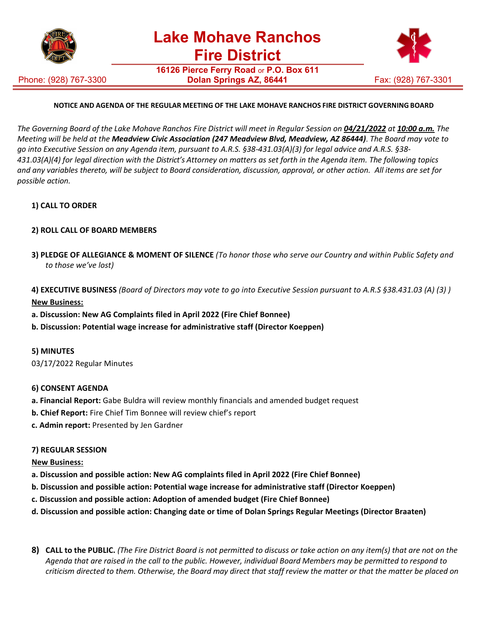

Phone: (928) 767-3300

**16126 Pierce Ferry Road** or **P.O. Box 611 Dolan Springs AZ, 86441** Fax: (928) 767-3301



# **NOTICE AND AGENDA OF THE REGULAR MEETING OF THE LAKE MOHAVE RANCHOS FIRE DISTRICT GOVERNING BOARD**

The Governing Board of the Lake Mohave Ranchos Fire District will meet in Regular Session on 04/21/2022 at 10:00 a.m. The *Meeting will be held at the Meadview Civic Association (247 Meadview Blvd, Meadview, AZ 86444)*. *The Board may vote to go into Executive Session on any Agenda item, pursuant to A.R.S. §38-431.03(A)(3) for legal advice and A.R.S. §38- 431.03(A)(4) for legal direction with the District's Attorney on matters as set forth in the Agenda item. The following topics and any variables thereto, will be subject to Board consideration, discussion, approval, or other action. All items are set for possible action.*

## **1) CALL TO ORDER**

## **2) ROLL CALL OF BOARD MEMBERS**

**3) PLEDGE OF ALLEGIANCE & MOMENT OF SILENCE** *(To honor those who serve our Country and within Public Safety and to those we've lost)*

**4) EXECUTIVE BUSINESS** *(Board of Directors may vote to go into Executive Session pursuant to A.R.S §38.431.03 (A) (3) )* **New Business:**

**a. Discussion: New AG Complaints filed in April 2022 (Fire Chief Bonnee)**

**b. Discussion: Potential wage increase for administrative staff (Director Koeppen)**

**5) MINUTES** 03/17/2022 Regular Minutes

### **6) CONSENT AGENDA**

- **a. Financial Report:** Gabe Buldra will review monthly financials and amended budget request
- **b. Chief Report:** Fire Chief Tim Bonnee will review chief's report
- **c. Admin report:** Presented by Jen Gardner

### **7) REGULAR SESSION**

### **New Business:**

- **a. Discussion and possible action: New AG complaints filed in April 2022 (Fire Chief Bonnee)**
- **b. Discussion and possible action: Potential wage increase for administrative staff (Director Koeppen)**
- **c. Discussion and possible action: Adoption of amended budget (Fire Chief Bonnee)**
- **d. Discussion and possible action: Changing date or time of Dolan Springs Regular Meetings (Director Braaten)**
- 8) CALL to the PUBLIC. (The Fire District Board is not permitted to discuss or take action on any item(s) that are not on the *Agenda that are raised in the call to the public. However, individual Board Members may be permitted to respond to criticism directed to them. Otherwise, the Board may direct that staff review the matter or that the matter be placed on*